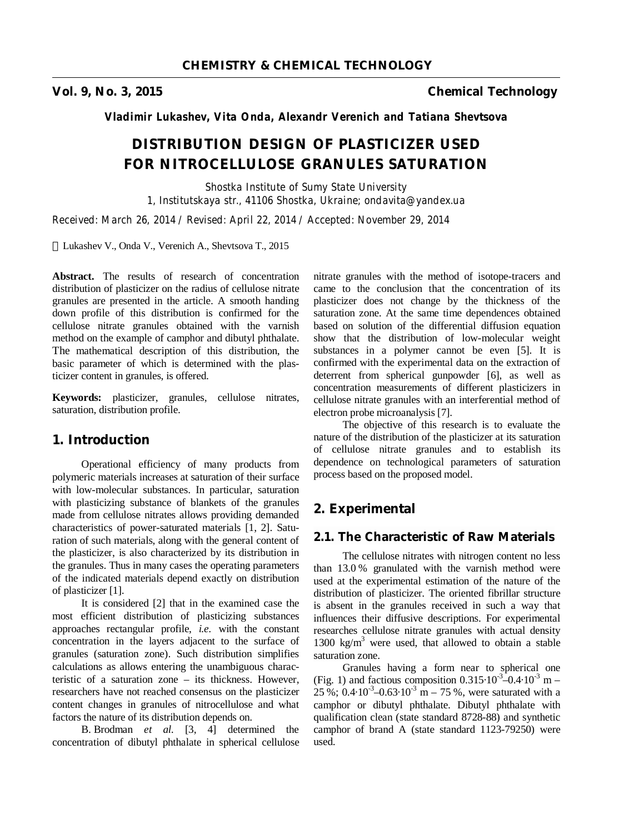**Vol. 9, No. 3, 2015 Chemical Technology** 

*Vladimir Lukashev, Vita Onda, Alexandr Verenich and Tatiana Shevtsova* 

# **DISTRIBUTION DESIGN OF PLASTICIZER USED FOR NITROCELLULOSE GRANULES SATURATION**

*Shostka Institute of Sumy State University 1, Institutskaya str., 41106 Shostka, Ukraine; ondavita@yandex.ua* 

*Received: March 26, 2014 / Revised: April 22, 2014 / Accepted: November 29, 2014* 

Lukashev V., Onda V., Verenich A., Shevtsova T., 2015

**Abstract.** The results of research of concentration distribution of plasticizer on the radius of cellulose nitrate granules are presented in the article. A smooth handing down profile of this distribution is confirmed for the cellulose nitrate granules obtained with the varnish method on the example of camphor and dibutyl phthalate. The mathematical description of this distribution, the basic parameter of which is determined with the plasticizer content in granules, is offered.

**Keywords:** plasticizer, granules, cellulose nitrates, saturation, distribution profile.

## **1. Introduction**

Operational efficiency of many products from polymeric materials increases at saturation of their surface with low-molecular substances. In particular, saturation with plasticizing substance of blankets of the granules made from cellulose nitrates allows providing demanded characteristics of power-saturated materials [1, 2]. Saturation of such materials, along with the general content of the plasticizer, is also characterized by its distribution in the granules. Thus in many cases the operating parameters of the indicated materials depend exactly on distribution of plasticizer [1].

It is considered [2] that in the examined case the most efficient distribution of plasticizing substances approaches rectangular profile, *i.e.* with the constant concentration in the layers adjacent to the surface of granules (saturation zone). Such distribution simplifies calculations as allows entering the unambiguous characteristic of a saturation zone – its thickness. However, researchers have not reached consensus on the plasticizer content changes in granules of nitrocellulose and what factors the nature of its distribution depends on.

B. Brodman *et al.* [3, 4] determined the concentration of dibutyl phthalate in spherical cellulose

nitrate granules with the method of isotope-tracers and came to the conclusion that the concentration of its plasticizer does not change by the thickness of the saturation zone. At the same time dependences obtained based on solution of the differential diffusion equation show that the distribution of low-molecular weight substances in a polymer cannot be even [5]. It is confirmed with the experimental data on the extraction of deterrent from spherical gunpowder [6], as well as concentration measurements of different plasticizers in cellulose nitrate granules with an interferential method of electron probe microanalysis [7].

The objective of this research is to evaluate the nature of the distribution of the plasticizer at its saturation of cellulose nitrate granules and to establish its dependence on technological parameters of saturation process based on the proposed model.

## **2. Experimental**

# **2.1. The Characteristic of Raw Materials**

The cellulose nitrates with nitrogen content no less than 13.0 % granulated with the varnish method were used at the experimental estimation of the nature of the distribution of plasticizer. The oriented fibrillar structure is absent in the granules received in such a way that influences their diffusive descriptions. For experimental researches cellulose nitrate granules with actual density 1300 kg/m<sup>3</sup> were used, that allowed to obtain a stable saturation zone.

Granules having a form near to spherical one (Fig. 1) and factious composition  $0.315 \cdot 10^{-3} - 0.4 \cdot 10^{-3}$  m –  $25\%$ ; 0.4 $\cdot 10^{-3}$  –0.63 $\cdot 10^{-3}$  m – 75%, were saturated with a camphor or dibutyl phthalate. Dibutyl phthalate with qualification clean (state standard 8728-88) and synthetic camphor of brand A (state standard 1123-79250) were used.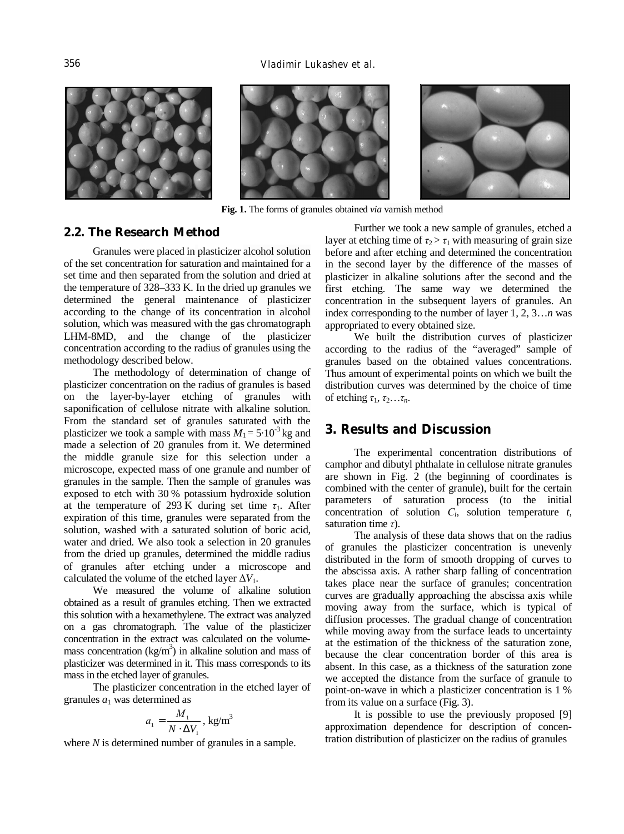





**Fig. 1.** The forms of granules obtained *via* varnish method

## **2.2. The Research Method**

Granules were placed in plasticizer alcohol solution of the set concentration for saturation and maintained for a set time and then separated from the solution and dried at the temperature of 328–333 K. In the dried up granules we determined the general maintenance of plasticizer according to the change of its concentration in alcohol solution, which was measured with the gas chromatograph LHM-8MD, and the change of the plasticizer concentration according to the radius of granules using the methodology described below.

The methodology of determination of change of plasticizer concentration on the radius of granules is based on the layer-by-layer etching of granules with saponification of cellulose nitrate with alkaline solution. From the standard set of granules saturated with the plasticizer we took a sample with mass  $M_1 = 5.10^{-3}$  kg and made a selection of 20 granules from it. We determined the middle granule size for this selection under a microscope, expected mass of one granule and number of granules in the sample. Then the sample of granules was exposed to etch with 30 % potassium hydroxide solution at the temperature of 293 K during set time  $\tau_1$ . After expiration of this time, granules were separated from the solution, washed with a saturated solution of boric acid, water and dried. We also took a selection in 20 granules from the dried up granules, determined the middle radius of granules after etching under a microscope and calculated the volume of the etched layer  $\Delta V_1$ .

We measured the volume of alkaline solution obtained as a result of granules etching. Then we extracted this solution with a hexamethylene. The extract was analyzed on a gas chromatograph. The value of the plasticizer concentration in the extract was calculated on the volumemass concentration ( $kg/m<sup>3</sup>$ ) in alkaline solution and mass of plasticizer was determined in it. This mass corresponds to its mass in the etched layer of granules.

The plasticizer concentration in the etched layer of granules  $a_1$  was determined as

$$
a_1 = \frac{M_1}{N \cdot \Delta V_1}, \text{ kg/m}^3
$$

where *N* is determined number of granules in a sample.

Further we took a new sample of granules, etched a layer at etching time of  $\tau_2 > \tau_1$  with measuring of grain size before and after etching and determined the concentration in the second layer by the difference of the masses of plasticizer in alkaline solutions after the second and the first etching. The same way we determined the concentration in the subsequent layers of granules. An index corresponding to the number of layer 1, 2, 3…*n* was appropriated to every obtained size.

We built the distribution curves of plasticizer according to the radius of the "averaged" sample of granules based on the obtained values concentrations. Thus amount of experimental points on which we built the distribution curves was determined by the choice of time of etching  $\tau_1, \tau_2, \ldots, \tau_n$ .

## **3. Results and Discussion**

The experimental concentration distributions of camphor and dibutyl phthalate in cellulose nitrate granules are shown in Fig. 2 (the beginning of coordinates is combined with the center of granule), built for the certain parameters of saturation process (to the initial concentration of solution  $C_i$ , solution temperature  $t$ , saturation time *τ*).

The analysis of these data shows that on the radius of granules the plasticizer concentration is unevenly distributed in the form of smooth dropping of curves to the abscissa axis. A rather sharp falling of concentration takes place near the surface of granules; concentration curves are gradually approaching the abscissa axis while moving away from the surface, which is typical of diffusion processes. The gradual change of concentration while moving away from the surface leads to uncertainty at the estimation of the thickness of the saturation zone, because the clear concentration border of this area is absent. In this case, as a thickness of the saturation zone we accepted the distance from the surface of granule to point-on-wave in which a plasticizer concentration is 1 % from its value on a surface (Fig. 3).

It is possible to use the previously proposed [9] approximation dependence for description of concentration distribution of plasticizer on the radius of granules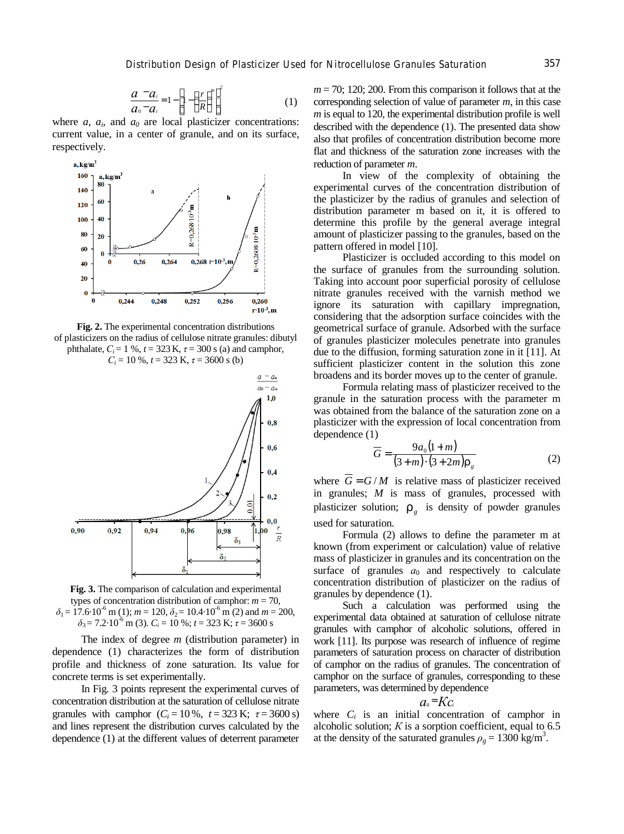$$
\frac{a-a_i}{a_0-a_i} = 1 - \left[1 - \left(\frac{r}{R}\right)^m\right]^2 \tag{1}
$$

where  $a$ ,  $a_i$ , and  $a_0$  are local plasticizer concentrations: current value, in a center of granule, and on its surface, respectively.



**Fig. 2.** The experimental concentration distributions of plasticizers on the radius of cellulose nitrate granules: dibutyl phthalate,  $C_i = 1 \%$ ,  $t = 323$  K,  $\tau = 300$  s (a) and camphor,  $C_i = 10\%$ ,  $t = 323$  K,  $\tau = 3600$  s (b)



**Fig. 3.** The comparison of calculation and experimental types of concentration distribution of camphor:  $m = 70$ ,  $\delta_1 = 17.6 \cdot 10^{-6}$  m (1);  $m = 120$ ,  $\delta_2 = 10.4 \cdot 10^{-6}$  m (2) and  $m = 200$ ,  $\delta_3$  = 7.2·10<sup>-6</sup> m (3).  $C_i$  = 10 %; *t* = 323 K; *τ* = 3600 s

The index of degree *m* (distribution parameter) in dependence (1) characterizes the form of distribution profile and thickness of zone saturation. Its value for concrete terms is set experimentally.

In Fig. 3 points represent the experimental curves of concentration distribution at the saturation of cellulose nitrate granules with camphor  $(C_i = 10\%, t = 323 \text{ K}; \tau = 3600 \text{ s})$ and lines represent the distribution curves calculated by the dependence (1) at the different values of deterrent parameter

 $m = 70$ ; 120; 200. From this comparison it follows that at the corresponding selection of value of parameter *m*, in this case *m* is equal to 120, the experimental distribution profile is well described with the dependence (1). The presented data show also that profiles of concentration distribution become more flat and thickness of the saturation zone increases with the reduction of parameter *m*.

In view of the complexity of obtaining the experimental curves of the concentration distribution of the plasticizer by the radius of granules and selection of distribution parameter m based on it, it is offered to determine this profile by the general average integral amount of plasticizer passing to the granules, based on the pattern offered in model [10].

Plasticizer is occluded according to this model on the surface of granules from the surrounding solution. Taking into account poor superficial porosity of cellulose nitrate granules received with the varnish method we ignore its saturation with capillary impregnation, considering that the adsorption surface coincides with the geometrical surface of granule. Adsorbed with the surface of granules plasticizer molecules penetrate into granules due to the diffusion, forming saturation zone in it [11]. At sufficient plasticizer content in the solution this zone broadens and its border moves up to the center of granule.

Formula relating mass of plasticizer received to the granule in the saturation process with the parameter m was obtained from the balance of the saturation zone on a plasticizer with the expression of local concentration from dependence (1)

$$
\overline{G} = \frac{9a_0(1+m)}{(3+m)\cdot(3+2m)r_s}
$$
 (2)

where  $\overline{G} = G/M$  is relative mass of plasticizer received in granules; *M* is mass of granules, processed with plasticizer solution;  $r<sub>g</sub>$  is density of powder granules used for saturation.

Formula (2) allows to define the parameter m at known (from experiment or calculation) value of relative mass of plasticizer in granules and its concentration on the surface of granules  $a_0$  and respectively to calculate concentration distribution of plasticizer on the radius of granules by dependence (1).

Such a calculation was performed using the experimental data obtained at saturation of cellulose nitrate granules with camphor of alcoholic solutions, offered in work [11]. Its purpose was research of influence of regime parameters of saturation process on character of distribution of camphor on the radius of granules. The concentration of camphor on the surface of granules, corresponding to these parameters, was determined by dependence

$$
a_{\scriptscriptstyle 0} = K c_{\scriptscriptstyle i}
$$

where  $C_i$  is an initial concentration of camphor in alcoholic solution;  $K$  is a sorption coefficient, equal to  $6.5$ at the density of the saturated granules  $\rho_g = 1300 \text{ kg/m}^3$ .